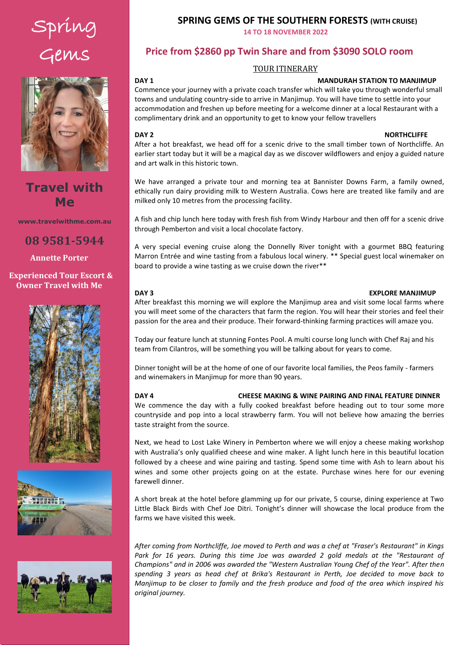# Spring Gems



## **Travel with Me**

**www.travelwithme.com.au**

**08 9581-5944**

**Annette Porter**

### **Experienced Tour Escort & Owner Travel with Me**







### **SPRING GEMS OF THE SOUTHERN FORESTS (WITH CRUISE)**

**14 TO 18 NOVEMBER 2022** 

### **Price from \$2860 pp Twin Share and from \$3090 SOLO room**

### TOUR ITINERARY

### **DAY 1 MANDURAH STATION TO MANJIMUP**

Click and enter a paragraph summary of the tour. Commence your journey with a private coach transfer which will take you through wonderful small towns and undulating country-side to arrive in Manjimup. You will have time to settle into your accommodation and freshen up before meeting for a welcome dinner at a local Restaurant with a complimentary drink and an opportunity to get to know your fellow travellers

### all the time watching the river bank, the water and the sky for wildlife and birds. We will take **DAY 2 NORTHCLIFFE**

After a hot breakfast, we head off for a scenic drive to the small timber town of Northcliffe. An earlier start today but it will be a magical day as we discover wildflowers and enjoy a guided nature and art walk in this historic town.

We have arranged a private tour and morning tea at Bannister Downs Farm, a family owned, ethically run dairy providing milk to Western Australia. Cows here are treated like family and are milked only 10 metres from the processing facility.

A fish and chip lunch here today with fresh fish from Windy Harbour and then off for a scenic drive through Pemberton and visit a local chocolate factory.

A very special evening cruise along the Donnelly River tonight with a gourmet BBQ featuring Marron Entrée and wine tasting from a fabulous local winery. \*\* Special guest local winemaker on board to provide a wine tasting as we cruise down the river\*\*

### **DAY 3 EXPLORE MANJIMUP**

After breakfast this morning we will explore the Manjimup area and visit some local farms where you will meet some of the characters that farm the region. You will hear their stories and feel their passion for the area and their produce. Their forward-thinking farming practices will amaze you.

Today our feature lunch at stunning Fontes Pool. A multi course long lunch with Chef Raj and his team from Cilantros, will be something you will be talking about for years to come.

Dinner tonight will be at the home of one of our favorite local families, the Peos family - farmers and winemakers in Manjimup for more than 90 years.

### **DAY 4 CHEESE MAKING & WINE PAIRING AND FINAL FEATURE DINNER**

We commence the day with a fully cooked breakfast before heading out to tour some more countryside and pop into a local strawberry farm. You will not believe how amazing the berries taste straight from the source.

Next, we head to Lost Lake Winery in Pemberton where we will enjoy a cheese making workshop with Australia's only qualified cheese and wine maker. A light lunch here in this beautiful location followed by a cheese and wine pairing and tasting. Spend some time with Ash to learn about his wines and some other projects going on at the estate. Purchase wines here for our evening farewell dinner.

A short break at the hotel before glamming up for our private, 5 course, dining experience at Two Little Black Birds with Chef Joe Ditri. Tonight's dinner will showcase the local produce from the farms we have visited this week.

*After coming from Northcliffe, Joe moved to Perth and was a chef at "Fraser's Restaurant" in Kings*  Park for 16 years. During this time Joe was awarded 2 gold medals at the "Restaurant of *Champions" and in 2006 was awarded the "Western Australian Young Chef of the Year". After then spending 3 years as head chef at Brika's Restaurant in Perth, Joe decided to move back to Manjimup to be closer to family and the fresh produce and food of the area which inspired his original journey.*